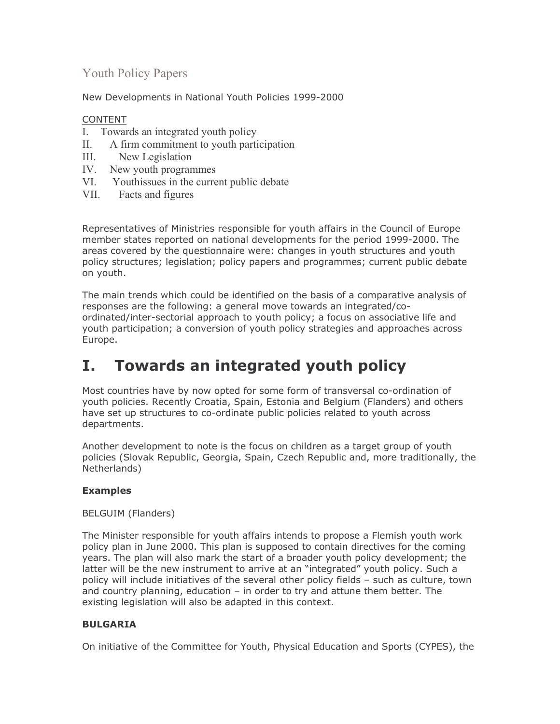# **Youth Policy Papers**

New Developments in National Youth Policies 1999-2000

# **CONTENT**

- I. Towards an integrated youth policy
- A firm commitment to youth participation  $\Pi$ .
- $III.$ New Legislation
- IV. New youth programmes
- VI. Youthis sues in the current public debate
- **VII** Facts and figures

Representatives of Ministries responsible for youth affairs in the Council of Europe member states reported on national developments for the period 1999-2000. The areas covered by the questionnaire were: changes in youth structures and youth policy structures; legislation; policy papers and programmes; current public debate on youth.

The main trends which could be identified on the basis of a comparative analysis of responses are the following: a general move towards an integrated/coordinated/inter-sectorial approach to youth policy; a focus on associative life and youth participation; a conversion of youth policy strategies and approaches across Europe.

#### **Towards an integrated youth policy** Ι.

Most countries have by now opted for some form of transversal co-ordination of youth policies. Recently Croatia, Spain, Estonia and Belgium (Flanders) and others have set up structures to co-ordinate public policies related to youth across departments.

Another development to note is the focus on children as a target group of youth policies (Slovak Republic, Georgia, Spain, Czech Republic and, more traditionally, the Netherlands)

# **Examples**

**BELGUIM (Flanders)** 

The Minister responsible for youth affairs intends to propose a Flemish youth work policy plan in June 2000. This plan is supposed to contain directives for the coming years. The plan will also mark the start of a broader youth policy development; the latter will be the new instrument to arrive at an "integrated" youth policy. Such a policy will include initiatives of the several other policy fields - such as culture, town and country planning, education – in order to try and attune them better. The existing legislation will also be adapted in this context.

# **BULGARIA**

On initiative of the Committee for Youth, Physical Education and Sports (CYPES), the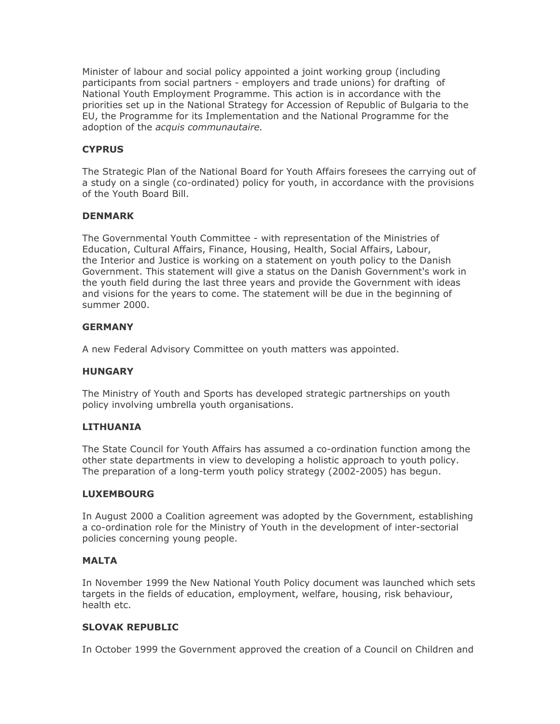Minister of labour and social policy appointed a joint working group (including participants from social partners - employers and trade unions) for drafting of National Youth Employment Programme. This action is in accordance with the priorities set up in the National Strategy for Accession of Republic of Bulgaria to the EU, the Programme for its Implementation and the National Programme for the adoption of the acquis communautaire.

# **CYPRUS**

The Strategic Plan of the National Board for Youth Affairs foresees the carrying out of a study on a single (co-ordinated) policy for youth, in accordance with the provisions of the Youth Board Bill.

# **DENMARK**

The Governmental Youth Committee - with representation of the Ministries of Education, Cultural Affairs, Finance, Housing, Health, Social Affairs, Labour, the Interior and Justice is working on a statement on youth policy to the Danish Government. This statement will give a status on the Danish Government's work in the youth field during the last three years and provide the Government with ideas and visions for the years to come. The statement will be due in the beginning of summer 2000.

# **GFRMANY**

A new Federal Advisory Committee on youth matters was appointed.

# **HUNGARY**

The Ministry of Youth and Sports has developed strategic partnerships on youth policy involving umbrella youth organisations.

# **LITHUANIA**

The State Council for Youth Affairs has assumed a co-ordination function among the other state departments in view to developing a holistic approach to youth policy. The preparation of a long-term youth policy strategy (2002-2005) has begun.

#### **LUXEMBOURG**

In August 2000 a Coalition agreement was adopted by the Government, establishing a co-ordination role for the Ministry of Youth in the development of inter-sectorial policies concerning young people.

#### **MALTA**

In November 1999 the New National Youth Policy document was launched which sets targets in the fields of education, employment, welfare, housing, risk behaviour, health etc.

# **SLOVAK REPUBLIC**

In October 1999 the Government approved the creation of a Council on Children and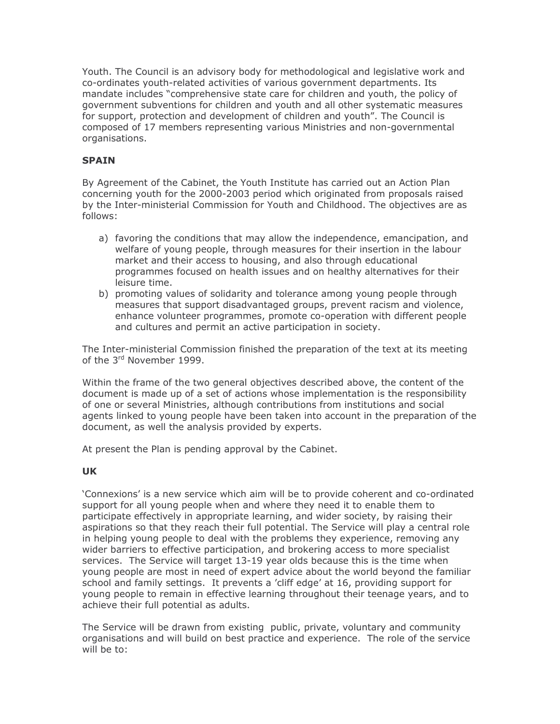Youth. The Council is an advisory body for methodological and legislative work and co-ordinates youth-related activities of various government departments. Its mandate includes "comprehensive state care for children and youth, the policy of government subventions for children and youth and all other systematic measures for support, protection and development of children and youth". The Council is composed of 17 members representing various Ministries and non-governmental organisations.

# **SPAIN**

By Agreement of the Cabinet, the Youth Institute has carried out an Action Plan concerning youth for the 2000-2003 period which originated from proposals raised by the Inter-ministerial Commission for Youth and Childhood. The objectives are as follows:

- a) favoring the conditions that may allow the independence, emancipation, and welfare of young people, through measures for their insertion in the labour market and their access to housing, and also through educational programmes focused on health issues and on healthy alternatives for their leisure time.
- b) promoting values of solidarity and tolerance among young people through measures that support disadvantaged groups, prevent racism and violence, enhance volunteer programmes, promote co-operation with different people and cultures and permit an active participation in society.

The Inter-ministerial Commission finished the preparation of the text at its meeting of the 3rd November 1999.

Within the frame of the two general objectives described above, the content of the document is made up of a set of actions whose implementation is the responsibility of one or several Ministries, although contributions from institutions and social agents linked to young people have been taken into account in the preparation of the document, as well the analysis provided by experts.

At present the Plan is pending approval by the Cabinet.

# **UK**

'Connexions' is a new service which aim will be to provide coherent and co-ordinated support for all young people when and where they need it to enable them to participate effectively in appropriate learning, and wider society, by raising their aspirations so that they reach their full potential. The Service will play a central role in helping young people to deal with the problems they experience, removing any wider barriers to effective participation, and brokering access to more specialist services. The Service will target 13-19 year olds because this is the time when young people are most in need of expert advice about the world beyond the familiar school and family settings. It prevents a 'cliff edge' at 16, providing support for young people to remain in effective learning throughout their teenage years, and to achieve their full potential as adults.

The Service will be drawn from existing public, private, voluntary and community organisations and will build on best practice and experience. The role of the service will be to: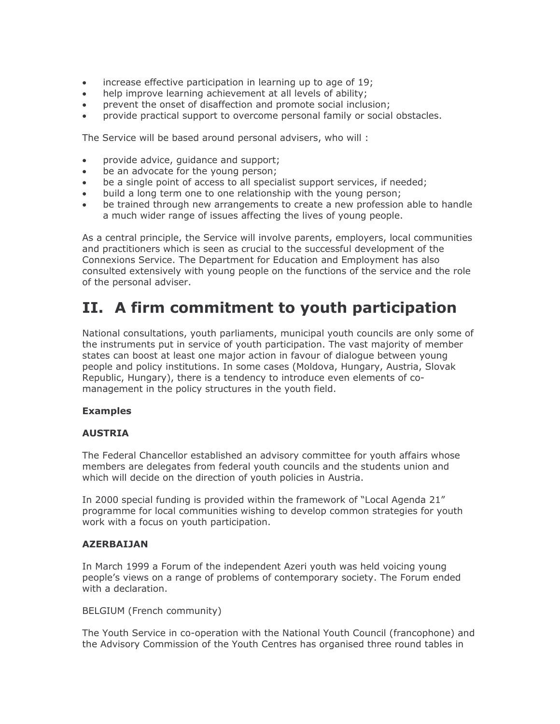- increase effective participation in learning up to age of 19;  $\bullet$
- help improve learning achievement at all levels of ability;  $\bullet$
- prevent the onset of disaffection and promote social inclusion;  $\bullet$
- provide practical support to overcome personal family or social obstacles.

The Service will be based around personal advisers, who will:

- provide advice, guidance and support;  $\bullet$
- be an advocate for the young person;  $\bullet$
- be a single point of access to all specialist support services, if needed;
- build a long term one to one relationship with the young person;  $\bullet$
- be trained through new arrangements to create a new profession able to handle a much wider range of issues affecting the lives of young people.

As a central principle, the Service will involve parents, employers, local communities and practitioners which is seen as crucial to the successful development of the Connexions Service. The Department for Education and Employment has also consulted extensively with young people on the functions of the service and the role of the personal adviser.

# II. A firm commitment to youth participation

National consultations, youth parliaments, municipal youth councils are only some of the instruments put in service of youth participation. The vast majority of member states can boost at least one major action in favour of dialogue between young people and policy institutions. In some cases (Moldova, Hungary, Austria, Slovak Republic, Hungary), there is a tendency to introduce even elements of comanagement in the policy structures in the youth field.

# **Examples**

# **AUSTRIA**

The Federal Chancellor established an advisory committee for youth affairs whose members are delegates from federal youth councils and the students union and which will decide on the direction of youth policies in Austria.

In 2000 special funding is provided within the framework of "Local Agenda 21" programme for local communities wishing to develop common strategies for youth work with a focus on youth participation.

# **AZERBAIJAN**

In March 1999 a Forum of the independent Azeri youth was held voicing young people's views on a range of problems of contemporary society. The Forum ended with a declaration.

BELGIUM (French community)

The Youth Service in co-operation with the National Youth Council (francophone) and the Advisory Commission of the Youth Centres has organised three round tables in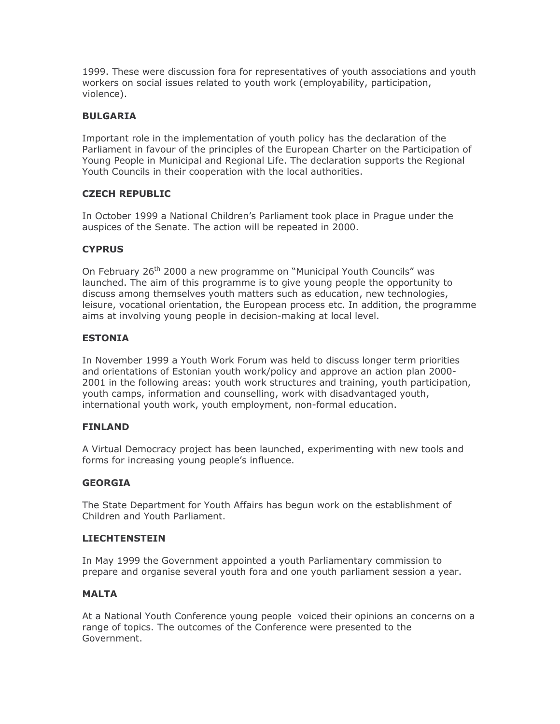1999. These were discussion fora for representatives of youth associations and youth workers on social issues related to youth work (employability, participation, violence).

# **BULGARIA**

Important role in the implementation of youth policy has the declaration of the Parliament in favour of the principles of the European Charter on the Participation of Young People in Municipal and Regional Life. The declaration supports the Regional Youth Councils in their cooperation with the local authorities.

# **CZECH REPUBLIC**

In October 1999 a National Children's Parliament took place in Prague under the auspices of the Senate. The action will be repeated in 2000.

# **CYPRUS**

On February 26<sup>th</sup> 2000 a new programme on "Municipal Youth Councils" was launched. The aim of this programme is to give young people the opportunity to discuss among themselves youth matters such as education, new technologies, leisure, vocational orientation, the European process etc. In addition, the programme aims at involving young people in decision-making at local level.

# **ESTONIA**

In November 1999 a Youth Work Forum was held to discuss longer term priorities and orientations of Estonian youth work/policy and approve an action plan 2000-2001 in the following areas: youth work structures and training, youth participation, youth camps, information and counselling, work with disadvantaged youth, international youth work, youth employment, non-formal education.

# **FINLAND**

A Virtual Democracy project has been launched, experimenting with new tools and forms for increasing young people's influence.

# **GEORGIA**

The State Department for Youth Affairs has begun work on the establishment of Children and Youth Parliament.

# **LIECHTENSTEIN**

In May 1999 the Government appointed a youth Parliamentary commission to prepare and organise several youth fora and one youth parliament session a year.

# **MALTA**

At a National Youth Conference young people voiced their opinions an concerns on a range of topics. The outcomes of the Conference were presented to the Government.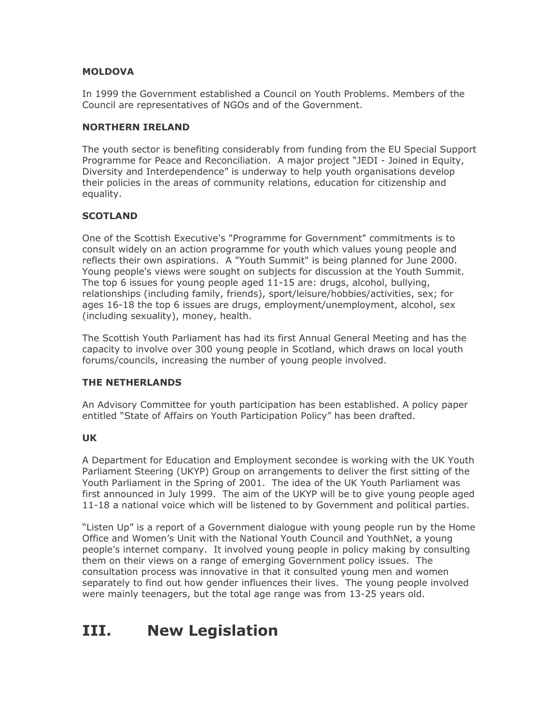# **MOLDOVA**

In 1999 the Government established a Council on Youth Problems, Members of the Council are representatives of NGOs and of the Government.

#### **NORTHERN IRELAND**

The youth sector is benefiting considerably from funding from the EU Special Support Programme for Peace and Reconciliation. A major project "JEDI - Joined in Equity, Diversity and Interdependence" is underway to help youth organisations develop their policies in the areas of community relations, education for citizenship and equality.

# **SCOTLAND**

One of the Scottish Executive's "Programme for Government" commitments is to consult widely on an action programme for youth which values young people and reflects their own aspirations. A "Youth Summit" is being planned for June 2000. Young people's views were sought on subjects for discussion at the Youth Summit. The top 6 issues for young people aged 11-15 are: drugs, alcohol, bullying, relationships (including family, friends), sport/leisure/hobbies/activities, sex; for ages 16-18 the top 6 issues are drugs, employment/unemployment, alcohol, sex (including sexuality), money, health.

The Scottish Youth Parliament has had its first Annual General Meeting and has the capacity to involve over 300 young people in Scotland, which draws on local youth forums/councils, increasing the number of young people involved.

# THE NETHERLANDS

An Advisory Committee for youth participation has been established. A policy paper entitled "State of Affairs on Youth Participation Policy" has been drafted.

# **UK**

A Department for Education and Employment secondee is working with the UK Youth Parliament Steering (UKYP) Group on arrangements to deliver the first sitting of the Youth Parliament in the Spring of 2001. The idea of the UK Youth Parliament was first announced in July 1999. The aim of the UKYP will be to give young people aged 11-18 a national voice which will be listened to by Government and political parties.

"Listen Up" is a report of a Government dialogue with young people run by the Home Office and Women's Unit with the National Youth Council and YouthNet, a young people's internet company. It involved young people in policy making by consulting them on their views on a range of emerging Government policy issues. The consultation process was innovative in that it consulted young men and women separately to find out how gender influences their lives. The young people involved were mainly teenagers, but the total age range was from 13-25 years old.

#### **New Legislation** III.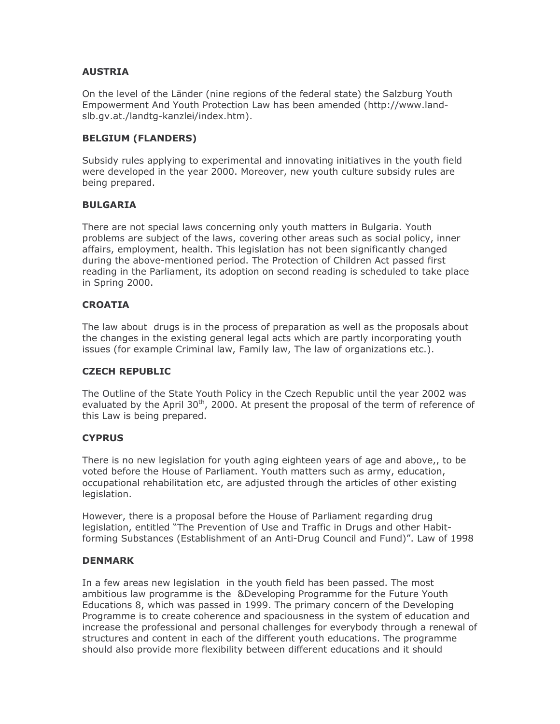# **AUSTRIA**

On the level of the Länder (nine regions of the federal state) the Salzburg Youth Empowerment And Youth Protection Law has been amended (http://www.landslb.gv.at./landtg-kanzlei/index.htm).

# **BELGIUM (FLANDERS)**

Subsidy rules applying to experimental and innovating initiatives in the youth field were developed in the year 2000. Moreover, new youth culture subsidy rules are being prepared.

# **BULGARIA**

There are not special laws concerning only youth matters in Bulgaria. Youth problems are subject of the laws, covering other areas such as social policy, inner affairs, employment, health. This legislation has not been significantly changed during the above-mentioned period. The Protection of Children Act passed first reading in the Parliament, its adoption on second reading is scheduled to take place in Spring 2000.

# **CROATIA**

The law about drugs is in the process of preparation as well as the proposals about the changes in the existing general legal acts which are partly incorporating youth issues (for example Criminal law, Family law, The law of organizations etc.).

# **CZECH REPUBLIC**

The Outline of the State Youth Policy in the Czech Republic until the year 2002 was evaluated by the April 30<sup>th</sup>, 2000. At present the proposal of the term of reference of this Law is being prepared.

# **CYPRUS**

There is no new legislation for youth aging eighteen years of age and above,, to be voted before the House of Parliament. Youth matters such as army, education, occupational rehabilitation etc, are adjusted through the articles of other existing legislation.

However, there is a proposal before the House of Parliament regarding drug legislation, entitled "The Prevention of Use and Traffic in Drugs and other Habitforming Substances (Establishment of an Anti-Drug Council and Fund)". Law of 1998

# **DENMARK**

In a few areas new legislation in the youth field has been passed. The most ambitious law programme is the &Developing Programme for the Future Youth Educations 8, which was passed in 1999. The primary concern of the Developing Programme is to create coherence and spaciousness in the system of education and increase the professional and personal challenges for everybody through a renewal of structures and content in each of the different youth educations. The programme should also provide more flexibility between different educations and it should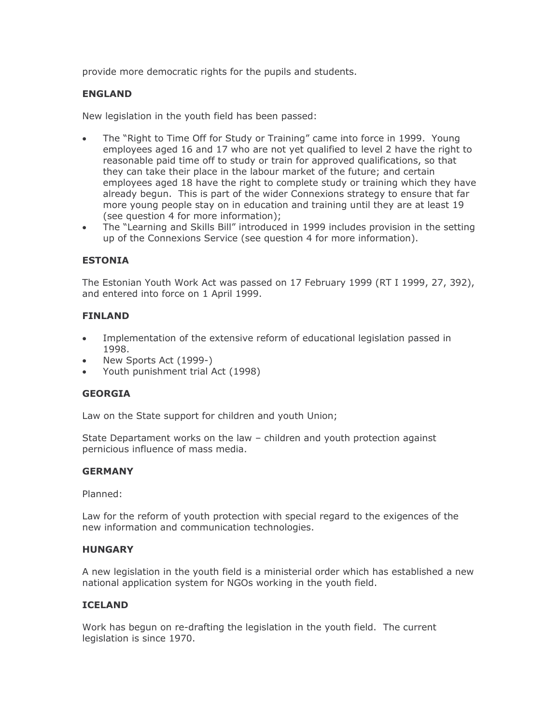provide more democratic rights for the pupils and students.

# **ENGLAND**

New legislation in the youth field has been passed:

- The "Right to Time Off for Study or Training" came into force in 1999. Young  $\bullet$ employees aged 16 and 17 who are not yet qualified to level 2 have the right to reasonable paid time off to study or train for approved qualifications, so that they can take their place in the labour market of the future; and certain employees aged 18 have the right to complete study or training which they have already begun. This is part of the wider Connexions strategy to ensure that far more young people stay on in education and training until they are at least 19 (see question 4 for more information);
- The "Learning and Skills Bill" introduced in 1999 includes provision in the setting  $\bullet$ up of the Connexions Service (see question 4 for more information).

# **ESTONIA**

The Estonian Youth Work Act was passed on 17 February 1999 (RT I 1999, 27, 392), and entered into force on 1 April 1999.

# **FINLAND**

- Implementation of the extensive reform of educational legislation passed in  $\bullet$ 1998.
- New Sports Act (1999-)
- Youth punishment trial Act (1998)

# **GEORGIA**

Law on the State support for children and youth Union;

State Departament works on the law - children and youth protection against pernicious influence of mass media.

# **GERMANY**

Planned:

Law for the reform of youth protection with special regard to the exigences of the new information and communication technologies.

# **HUNGARY**

A new legislation in the youth field is a ministerial order which has established a new national application system for NGOs working in the youth field.

# **ICELAND**

Work has begun on re-drafting the legislation in the youth field. The current legislation is since 1970.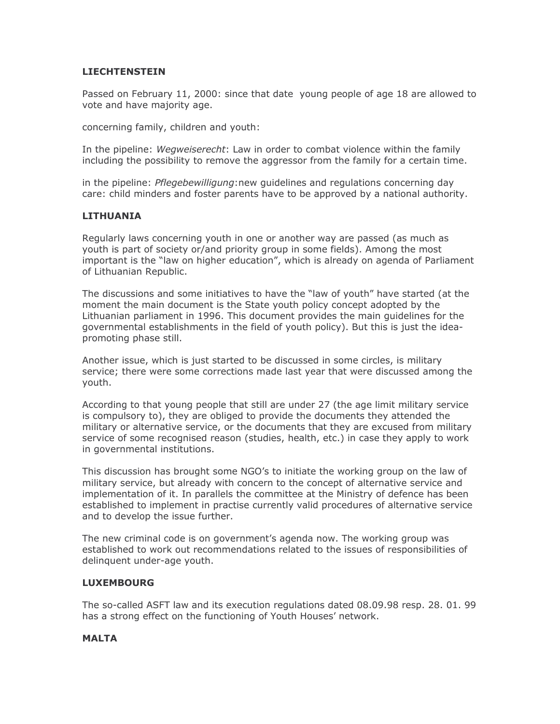# **LIECHTENSTEIN**

Passed on February 11, 2000: since that date young people of age 18 are allowed to vote and have majority age.

concerning family, children and youth:

In the pipeline: Wegweiserecht: Law in order to combat violence within the family including the possibility to remove the aggressor from the family for a certain time.

in the pipeline: *Pflegebewilligung*:new guidelines and regulations concerning day care: child minders and foster parents have to be approved by a national authority.

# **LITHUANIA**

Regularly laws concerning youth in one or another way are passed (as much as youth is part of society or/and priority group in some fields). Among the most important is the "law on higher education", which is already on agenda of Parliament of Lithuanian Republic.

The discussions and some initiatives to have the "law of youth" have started (at the moment the main document is the State youth policy concept adopted by the Lithuanian parliament in 1996. This document provides the main quidelines for the governmental establishments in the field of youth policy). But this is just the ideapromoting phase still.

Another issue, which is just started to be discussed in some circles, is military service; there were some corrections made last year that were discussed among the youth.

According to that young people that still are under 27 (the age limit military service is compulsory to), they are obliged to provide the documents they attended the military or alternative service, or the documents that they are excused from military service of some recognised reason (studies, health, etc.) in case they apply to work in governmental institutions.

This discussion has brought some NGO's to initiate the working group on the law of military service, but already with concern to the concept of alternative service and implementation of it. In parallels the committee at the Ministry of defence has been established to implement in practise currently valid procedures of alternative service and to develop the issue further.

The new criminal code is on government's agenda now. The working group was established to work out recommendations related to the issues of responsibilities of delinguent under-age youth.

# **LUXEMBOURG**

The so-called ASFT law and its execution regulations dated 08.09.98 resp. 28. 01. 99 has a strong effect on the functioning of Youth Houses' network.

# **MALTA**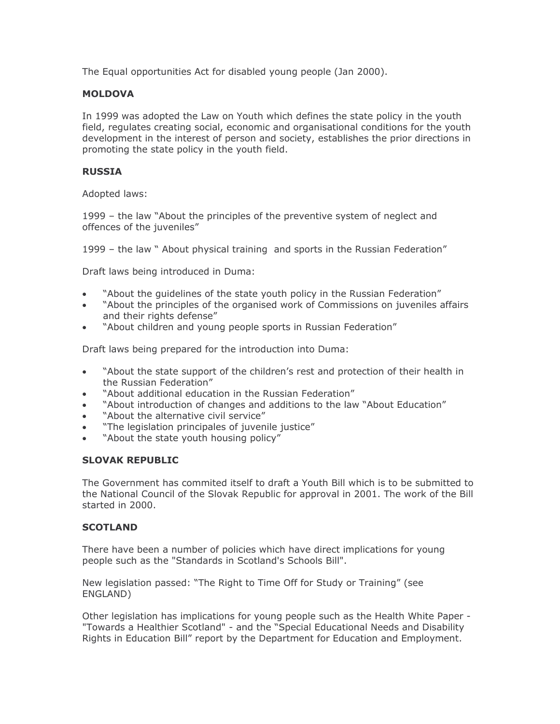The Equal opportunities Act for disabled young people (Jan 2000).

# **MOLDOVA**

In 1999 was adopted the Law on Youth which defines the state policy in the youth field, regulates creating social, economic and organisational conditions for the youth development in the interest of person and society, establishes the prior directions in promoting the state policy in the youth field.

# **RUSSIA**

Adopted laws:

1999 - the law "About the principles of the preventive system of neglect and offences of the juveniles"

1999 - the law " About physical training and sports in the Russian Federation"

Draft laws being introduced in Duma:

- "About the quidelines of the state youth policy in the Russian Federation"
- "About the principles of the organised work of Commissions on juveniles affairs  $\bullet$ and their rights defense"
- "About children and young people sports in Russian Federation"

Draft laws being prepared for the introduction into Duma:

- "About the state support of the children's rest and protection of their health in  $\bullet$ the Russian Federation"
- "About additional education in the Russian Federation"
- "About introduction of changes and additions to the law "About Education"
- "About the alternative civil service"  $\bullet$
- "The legislation principales of juvenile justice"  $\bullet$
- "About the state youth housing policy"

# **SLOVAK REPUBLIC**

The Government has commited itself to draft a Youth Bill which is to be submitted to the National Council of the Slovak Republic for approval in 2001. The work of the Bill started in 2000.

# **SCOTLAND**

There have been a number of policies which have direct implications for young people such as the "Standards in Scotland's Schools Bill".

New legislation passed: "The Right to Time Off for Study or Training" (see ENGLAND)

Other legislation has implications for young people such as the Health White Paper -"Towards a Healthier Scotland" - and the "Special Educational Needs and Disability Rights in Education Bill" report by the Department for Education and Employment.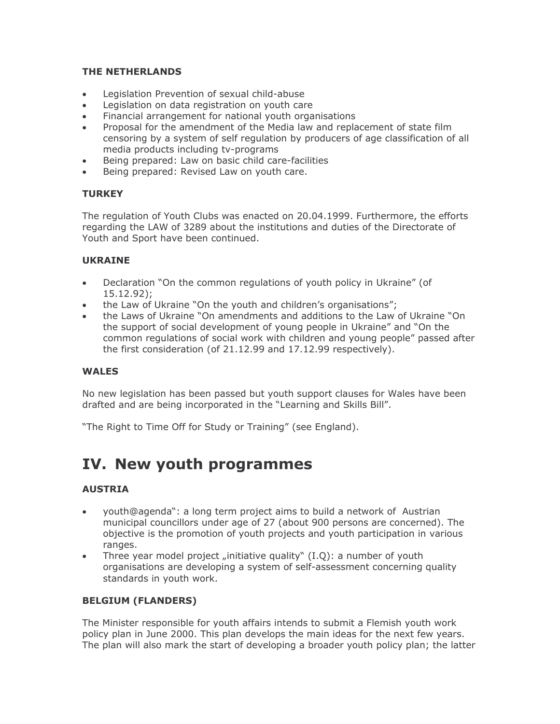# THE NETHERLANDS

- Legislation Prevention of sexual child-abuse  $\bullet$
- Legislation on data registration on youth care  $\bullet$
- Financial arrangement for national youth organisations  $\bullet$
- Proposal for the amendment of the Media law and replacement of state film censoring by a system of self regulation by producers of age classification of all media products including ty-programs
- Being prepared: Law on basic child care-facilities
- Being prepared: Revised Law on youth care.

# **TURKEY**

The regulation of Youth Clubs was enacted on 20.04.1999. Furthermore, the efforts regarding the LAW of 3289 about the institutions and duties of the Directorate of Youth and Sport have been continued.

# **UKRAINE**

- Declaration "On the common regulations of youth policy in Ukraine" (of  $\bullet$  $15.12.92$ :
- the Law of Ukraine "On the youth and children's organisations";  $\bullet$
- the Laws of Ukraine "On amendments and additions to the Law of Ukraine "On the support of social development of young people in Ukraine" and "On the common regulations of social work with children and young people" passed after the first consideration (of 21.12.99 and 17.12.99 respectively).

# **WALES**

No new legislation has been passed but youth support clauses for Wales have been drafted and are being incorporated in the "Learning and Skills Bill".

"The Right to Time Off for Study or Training" (see England).

# IV. New youth programmes

# **AUSTRIA**

- youth@agenda": a long term project aims to build a network of Austrian  $\bullet$ municipal councillors under age of 27 (about 900 persons are concerned). The objective is the promotion of youth projects and youth participation in various ranges.
- Three year model project "initiative quality"  $(I.Q)$ : a number of youth  $\bullet$ organisations are developing a system of self-assessment concerning quality standards in youth work.

# **BELGIUM (FLANDERS)**

The Minister responsible for youth affairs intends to submit a Flemish youth work policy plan in June 2000. This plan develops the main ideas for the next few years. The plan will also mark the start of developing a broader youth policy plan; the latter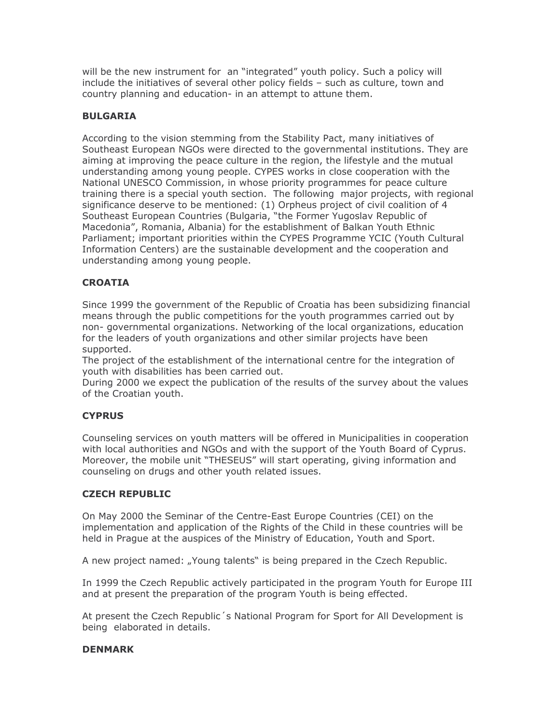will be the new instrument for an "integrated" youth policy. Such a policy will include the initiatives of several other policy fields - such as culture, town and country planning and education- in an attempt to attune them.

# **BULGARIA**

According to the vision stemming from the Stability Pact, many initiatives of Southeast European NGOs were directed to the governmental institutions. They are aiming at improving the peace culture in the region, the lifestyle and the mutual understanding among young people. CYPES works in close cooperation with the National UNESCO Commission, in whose priority programmes for peace culture training there is a special youth section. The following major projects, with regional significance deserve to be mentioned: (1) Orpheus project of civil coalition of 4 Southeast European Countries (Bulgaria, "the Former Yugoslav Republic of Macedonia", Romania, Albania) for the establishment of Balkan Youth Ethnic Parliament; important priorities within the CYPES Programme YCIC (Youth Cultural Information Centers) are the sustainable development and the cooperation and understanding among young people.

# **CROATIA**

Since 1999 the government of the Republic of Croatia has been subsidizing financial means through the public competitions for the youth programmes carried out by non- governmental organizations. Networking of the local organizations, education for the leaders of youth organizations and other similar projects have been supported.

The project of the establishment of the international centre for the integration of vouth with disabilities has been carried out.

During 2000 we expect the publication of the results of the survey about the values of the Croatian youth.

# **CYPRUS**

Counseling services on youth matters will be offered in Municipalities in cooperation with local authorities and NGOs and with the support of the Youth Board of Cyprus. Moreover, the mobile unit "THESEUS" will start operating, giving information and counseling on drugs and other youth related issues.

# **CZECH REPUBLIC**

On May 2000 the Seminar of the Centre-East Europe Countries (CEI) on the implementation and application of the Rights of the Child in these countries will be held in Prague at the auspices of the Ministry of Education, Youth and Sport.

A new project named: "Young talents" is being prepared in the Czech Republic.

In 1999 the Czech Republic actively participated in the program Youth for Europe III and at present the preparation of the program Youth is being effected.

At present the Czech Republic's National Program for Sport for All Development is being elaborated in details.

# **DENMARK**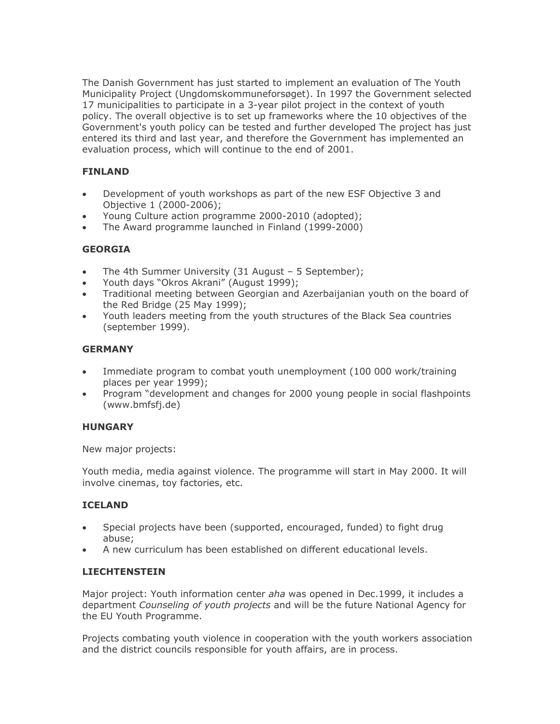The Danish Government has just started to implement an evaluation of The Youth Municipality Project (Ungdomskommuneforsøget). In 1997 the Government selected 17 municipalities to participate in a 3-year pilot project in the context of youth policy. The overall objective is to set up frameworks where the 10 objectives of the Government's youth policy can be tested and further developed The project has just entered its third and last year, and therefore the Government has implemented an evaluation process, which will continue to the end of 2001.

# **FINLAND**

- Development of youth workshops as part of the new ESF Objective 3 and  $\bullet$ Objective 1 (2000-2006);
- Young Culture action programme 2000-2010 (adopted);
- The Award programme launched in Finland (1999-2000)  $\bullet$

# **GEORGIA**

- The 4th Summer University (31 August 5 September);
- Youth days "Okros Akrani" (August 1999);  $\bullet$
- Traditional meeting between Georgian and Azerbaijanian youth on the board of the Red Bridge (25 May 1999);
- Youth leaders meeting from the youth structures of the Black Sea countries  $\bullet$ (september 1999).

# **GERMANY**

- Immediate program to combat youth unemployment (100 000 work/training  $\bullet$ places per year 1999);
- Program "development and changes for 2000 young people in social flashpoints  $\bullet$ (www.bmfsfj.de)

# **HUNGARY**

New major projects:

Youth media, media against violence. The programme will start in May 2000. It will involve cinemas, toy factories, etc.

# **ICELAND**

- Special projects have been (supported, encouraged, funded) to fight drug  $\bullet$ abuse:
- A new curriculum has been established on different educational levels.

# **LIECHTENSTEIN**

Major project: Youth information center aha was opened in Dec.1999, it includes a department Counseling of youth projects and will be the future National Agency for the EU Youth Programme.

Projects combating youth violence in cooperation with the youth workers association and the district councils responsible for youth affairs, are in process.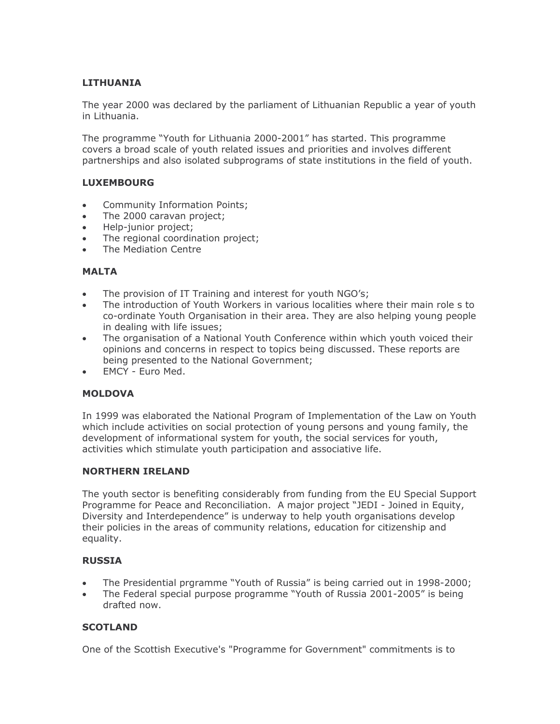# **LITHUANIA**

The year 2000 was declared by the parliament of Lithuanian Republic a year of youth in Lithuania.

The programme "Youth for Lithuania 2000-2001" has started. This programme covers a broad scale of youth related issues and priorities and involves different partnerships and also isolated subprograms of state institutions in the field of youth.

# **LUXEMBOURG**

- **Community Information Points:**  $\bullet$
- The 2000 caravan project;  $\bullet$
- Help-junior project;  $\bullet$
- The regional coordination project;
- The Mediation Centre

# **MALTA**

- The provision of IT Training and interest for youth NGO's;
- The introduction of Youth Workers in various localities where their main role s to  $\bullet$ co-ordinate Youth Organisation in their area. They are also helping young people in dealing with life issues;
- The organisation of a National Youth Conference within which youth voiced their  $\bullet$ opinions and concerns in respect to topics being discussed. These reports are being presented to the National Government;
- EMCY Euro Med.  $\bullet$

# **MOLDOVA**

In 1999 was elaborated the National Program of Implementation of the Law on Youth which include activities on social protection of young persons and young family, the development of informational system for youth, the social services for youth, activities which stimulate youth participation and associative life.

# **NORTHERN IRELAND**

The youth sector is benefiting considerably from funding from the EU Special Support Programme for Peace and Reconciliation. A major project "JEDI - Joined in Equity, Diversity and Interdependence" is underway to help youth organisations develop their policies in the areas of community relations, education for citizenship and equality.

# **RUSSIA**

- The Presidential prgramme "Youth of Russia" is being carried out in 1998-2000;
- The Federal special purpose programme "Youth of Russia 2001-2005" is being  $\bullet$ drafted now.

# **SCOTLAND**

One of the Scottish Executive's "Programme for Government" commitments is to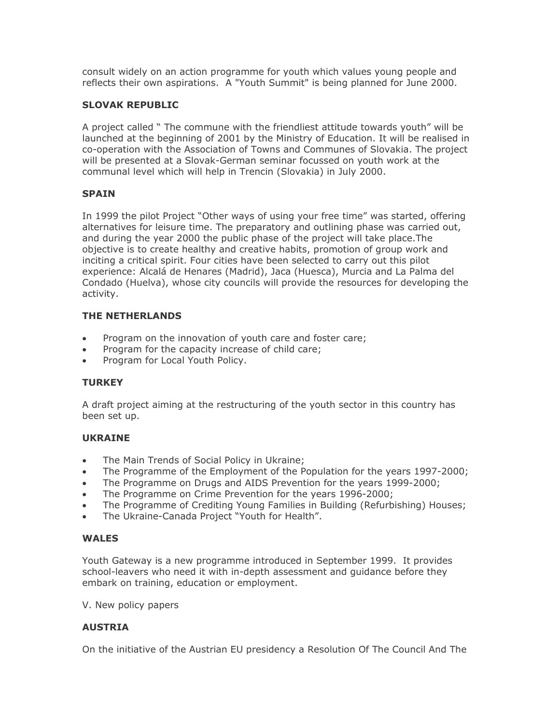consult widely on an action programme for youth which values young people and reflects their own aspirations. A "Youth Summit" is being planned for June 2000.

# **SLOVAK REPUBLIC**

A project called " The commune with the friendliest attitude towards youth" will be launched at the beginning of 2001 by the Ministry of Education. It will be realised in co-operation with the Association of Towns and Communes of Slovakia. The project will be presented at a Slovak-German seminar focussed on youth work at the communal level which will help in Trencin (Slovakia) in July 2000.

# **SPAIN**

In 1999 the pilot Project "Other ways of using your free time" was started, offering alternatives for leisure time. The preparatory and outlining phase was carried out, and during the year 2000 the public phase of the project will take place. The objective is to create healthy and creative habits, promotion of group work and inciting a critical spirit. Four cities have been selected to carry out this pilot experience: Alcalá de Henares (Madrid), Jaca (Huesca), Murcia and La Palma del Condado (Huelva), whose city councils will provide the resources for developing the activity.

# **THE NETHERLANDS**

- Program on the innovation of youth care and foster care:  $\bullet$
- Program for the capacity increase of child care;
- Program for Local Youth Policy.  $\bullet$

# **TURKEY**

A draft project aiming at the restructuring of the youth sector in this country has been set up.

# **UKRAINE**

- The Main Trends of Social Policy in Ukraine;
- The Programme of the Employment of the Population for the years 1997-2000;  $\bullet$
- The Programme on Drugs and AIDS Prevention for the years 1999-2000;  $\bullet$
- The Programme on Crime Prevention for the years 1996-2000;
- The Programme of Crediting Young Families in Building (Refurbishing) Houses;  $\bullet$
- The Ukraine-Canada Project "Youth for Health".

# **WALES**

Youth Gateway is a new programme introduced in September 1999. It provides school-leavers who need it with in-depth assessment and guidance before they embark on training, education or employment.

V. New policy papers

# **AUSTRIA**

On the initiative of the Austrian EU presidency a Resolution Of The Council And The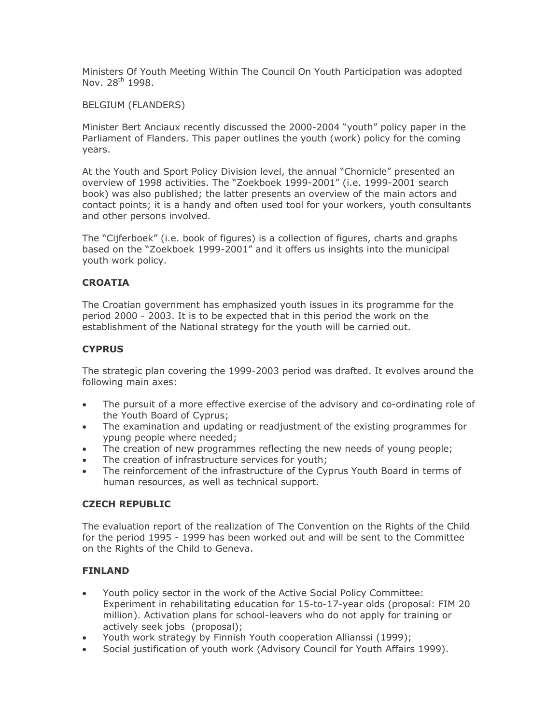Ministers Of Youth Meeting Within The Council On Youth Participation was adopted Nov. 28<sup>th</sup> 1998.

# **BELGIUM (FLANDERS)**

Minister Bert Anciaux recently discussed the 2000-2004 "youth" policy paper in the Parliament of Flanders. This paper outlines the youth (work) policy for the coming vears.

At the Youth and Sport Policy Division level, the annual "Chornicle" presented an overview of 1998 activities. The "Zoekboek 1999-2001" (i.e. 1999-2001 search book) was also published; the latter presents an overview of the main actors and contact points; it is a handy and often used tool for your workers, youth consultants and other persons involved.

The "Cijferboek" (i.e. book of figures) is a collection of figures, charts and graphs based on the "Zoekboek 1999-2001" and it offers us insights into the municipal youth work policy.

# **CROATIA**

The Croatian government has emphasized youth issues in its programme for the period 2000 - 2003. It is to be expected that in this period the work on the establishment of the National strategy for the youth will be carried out.

# **CYPRUS**

The strategic plan covering the 1999-2003 period was drafted. It evolves around the following main axes:

- The pursuit of a more effective exercise of the advisory and co-ordinating role of  $\bullet$ the Youth Board of Cyprus;
- The examination and updating or readjustment of the existing programmes for  $\bullet$ ypung people where needed;
- The creation of new programmes reflecting the new needs of young people;
- The creation of infrastructure services for youth;
- The reinforcement of the infrastructure of the Cyprus Youth Board in terms of human resources, as well as technical support.

# **CZECH REPUBLIC**

The evaluation report of the realization of The Convention on the Rights of the Child for the period 1995 - 1999 has been worked out and will be sent to the Committee on the Rights of the Child to Geneva.

# **FINLAND**

- Youth policy sector in the work of the Active Social Policy Committee: Experiment in rehabilitating education for 15-to-17-year olds (proposal: FIM 20 million). Activation plans for school-leavers who do not apply for training or actively seek jobs (proposal);
- Youth work strategy by Finnish Youth cooperation Allianssi (1999);  $\bullet$
- Social justification of youth work (Advisory Council for Youth Affairs 1999).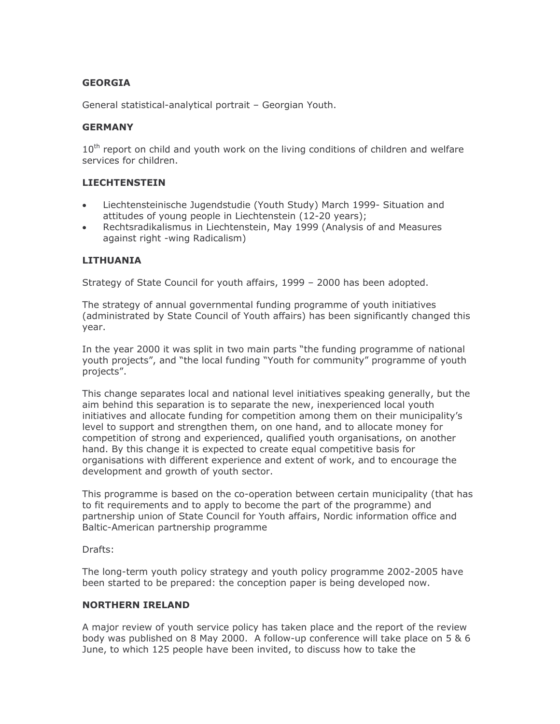# **GEORGIA**

General statistical-analytical portrait - Georgian Youth.

# **GERMANY**

10<sup>th</sup> report on child and youth work on the living conditions of children and welfare services for children.

# **LIECHTENSTEIN**

- Liechtensteinische Jugendstudie (Youth Study) March 1999- Situation and  $\bullet$ attitudes of young people in Liechtenstein (12-20 years);
- Rechtsradikalismus in Liechtenstein, May 1999 (Analysis of and Measures  $\bullet$ against right -wing Radicalism)

# **LITHUANIA**

Strategy of State Council for youth affairs, 1999 - 2000 has been adopted.

The strategy of annual governmental funding programme of youth initiatives (administrated by State Council of Youth affairs) has been significantly changed this year.

In the year 2000 it was split in two main parts "the funding programme of national youth projects", and "the local funding "Youth for community" programme of youth projects".

This change separates local and national level initiatives speaking generally, but the aim behind this separation is to separate the new, inexperienced local youth initiatives and allocate funding for competition among them on their municipality's level to support and strengthen them, on one hand, and to allocate money for competition of strong and experienced, qualified youth organisations, on another hand. By this change it is expected to create equal competitive basis for organisations with different experience and extent of work, and to encourage the development and growth of youth sector.

This programme is based on the co-operation between certain municipality (that has to fit requirements and to apply to become the part of the programme) and partnership union of State Council for Youth affairs, Nordic information office and Baltic-American partnership programme

Drafts:

The long-term youth policy strategy and youth policy programme 2002-2005 have been started to be prepared: the conception paper is being developed now.

# **NORTHERN IRELAND**

A major review of youth service policy has taken place and the report of the review body was published on 8 May 2000. A follow-up conference will take place on 5 & 6 June, to which 125 people have been invited, to discuss how to take the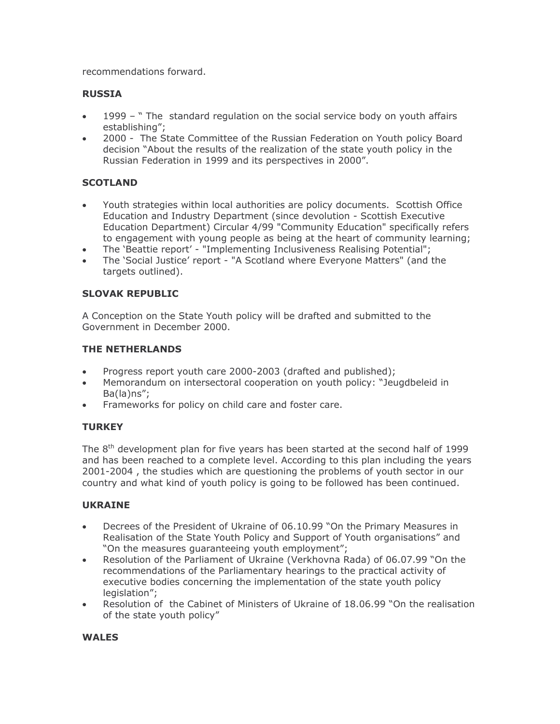recommendations forward.

# **RUSSIA**

- 1999 "The standard regulation on the social service body on youth affairs  $\bullet$ establishing":
- 2000 The State Committee of the Russian Federation on Youth policy Board decision "About the results of the realization of the state youth policy in the Russian Federation in 1999 and its perspectives in 2000".

# **SCOTLAND**

- Youth strategies within local authorities are policy documents. Scottish Office Education and Industry Department (since devolution - Scottish Executive Education Department) Circular 4/99 "Community Education" specifically refers to engagement with young people as being at the heart of community learning;
- The 'Beattie report' "Implementing Inclusiveness Realising Potential";  $\bullet$
- The 'Social Justice' report "A Scotland where Everyone Matters" (and the  $\bullet$ targets outlined).

# **SLOVAK REPUBLIC**

A Conception on the State Youth policy will be drafted and submitted to the Government in December 2000.

# THE NETHERLANDS

- Progress report youth care 2000-2003 (drafted and published);  $\bullet$
- Memorandum on intersectoral cooperation on youth policy: "Jeugdbeleid in  $Ba(la)$ ns";
- Frameworks for policy on child care and foster care.

# **TURKEY**

The  $8<sup>th</sup>$  development plan for five years has been started at the second half of 1999 and has been reached to a complete level. According to this plan including the years 2001-2004, the studies which are questioning the problems of youth sector in our country and what kind of youth policy is going to be followed has been continued.

# **UKRAINE**

- Decrees of the President of Ukraine of 06.10.99 "On the Primary Measures in  $\bullet$ Realisation of the State Youth Policy and Support of Youth organisations" and "On the measures guaranteeing youth employment";
- Resolution of the Parliament of Ukraine (Verkhovna Rada) of 06.07.99 "On the  $\bullet$ recommendations of the Parliamentary hearings to the practical activity of executive bodies concerning the implementation of the state youth policy legislation";
- Resolution of the Cabinet of Ministers of Ukraine of 18.06.99 "On the realisation  $\bullet$ of the state youth policy"

# **WALES**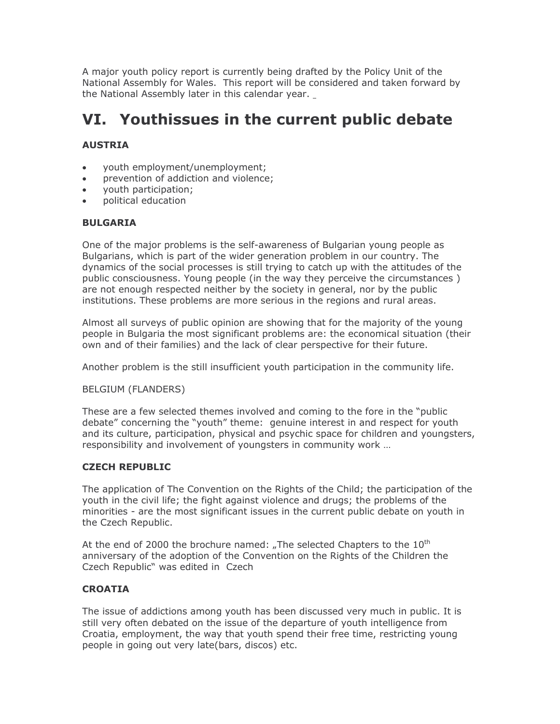A major youth policy report is currently being drafted by the Policy Unit of the National Assembly for Wales. This report will be considered and taken forward by the National Assembly later in this calendar year.

# VI. Youthissues in the current public debate

# **AUSTRIA**

- youth employment/unemployment;  $\bullet$
- prevention of addiction and violence:  $\bullet$
- youth participation;  $\bullet$
- political education

# **BULGARIA**

One of the major problems is the self-awareness of Bulgarian young people as Bulgarians, which is part of the wider generation problem in our country. The dynamics of the social processes is still trying to catch up with the attitudes of the public consciousness. Young people (in the way they perceive the circumstances) are not enough respected neither by the society in general, nor by the public institutions. These problems are more serious in the regions and rural areas.

Almost all surveys of public opinion are showing that for the majority of the young people in Bulgaria the most significant problems are: the economical situation (their own and of their families) and the lack of clear perspective for their future.

Another problem is the still insufficient youth participation in the community life.

# **BELGIUM (FLANDERS)**

These are a few selected themes involved and coming to the fore in the "public" debate" concerning the "youth" theme: genuine interest in and respect for youth and its culture, participation, physical and psychic space for children and youngsters, responsibility and involvement of youngsters in community work ...

# **CZECH REPUBLIC**

The application of The Convention on the Rights of the Child; the participation of the youth in the civil life; the fight against violence and drugs; the problems of the minorities - are the most significant issues in the current public debate on youth in the Czech Republic.

At the end of 2000 the brochure named: "The selected Chapters to the  $10<sup>th</sup>$ anniversary of the adoption of the Convention on the Rights of the Children the Czech Republic" was edited in Czech

# **CROATIA**

The issue of addictions among youth has been discussed very much in public. It is still very often debated on the issue of the departure of youth intelligence from Croatia, employment, the way that youth spend their free time, restricting young people in going out very late(bars, discos) etc.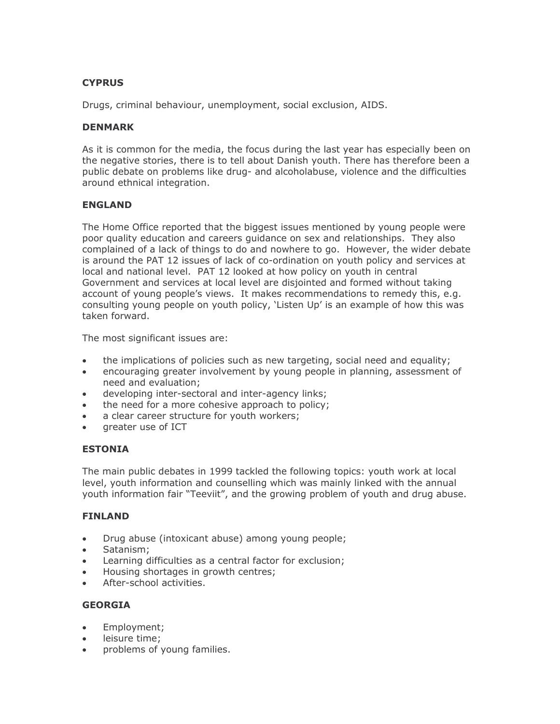# **CYPRUS**

Drugs, criminal behaviour, unemployment, social exclusion, AIDS.

#### **DENMARK**

As it is common for the media, the focus during the last year has especially been on the negative stories, there is to tell about Danish youth. There has therefore been a public debate on problems like drug- and alcoholabuse, violence and the difficulties around ethnical integration.

# **ENGLAND**

The Home Office reported that the biggest issues mentioned by young people were poor quality education and careers quidance on sex and relationships. They also complained of a lack of things to do and nowhere to go. However, the wider debate is around the PAT 12 issues of lack of co-ordination on youth policy and services at local and national level. PAT 12 looked at how policy on youth in central Government and services at local level are disjointed and formed without taking account of young people's views. It makes recommendations to remedy this, e.g. consulting young people on youth policy, 'Listen Up' is an example of how this was taken forward.

The most significant issues are:

- the implications of policies such as new targeting, social need and equality;  $\bullet$
- encouraging greater involvement by young people in planning, assessment of  $\bullet$ need and evaluation;
- developing inter-sectoral and inter-agency links;  $\bullet$
- the need for a more cohesive approach to policy;  $\bullet$
- a clear career structure for youth workers;  $\bullet$
- greater use of ICT

# **ESTONIA**

The main public debates in 1999 tackled the following topics: youth work at local level, youth information and counselling which was mainly linked with the annual youth information fair "Teeviit", and the growing problem of youth and drug abuse.

# **FINLAND**

- Drug abuse (intoxicant abuse) among young people;  $\bullet$
- Satanism:
- Learning difficulties as a central factor for exclusion;  $\bullet$
- $\bullet$ Housing shortages in growth centres;
- After-school activities.

# **GEORGIA**

- Employment;  $\bullet$
- leisure time;  $\bullet$
- problems of young families.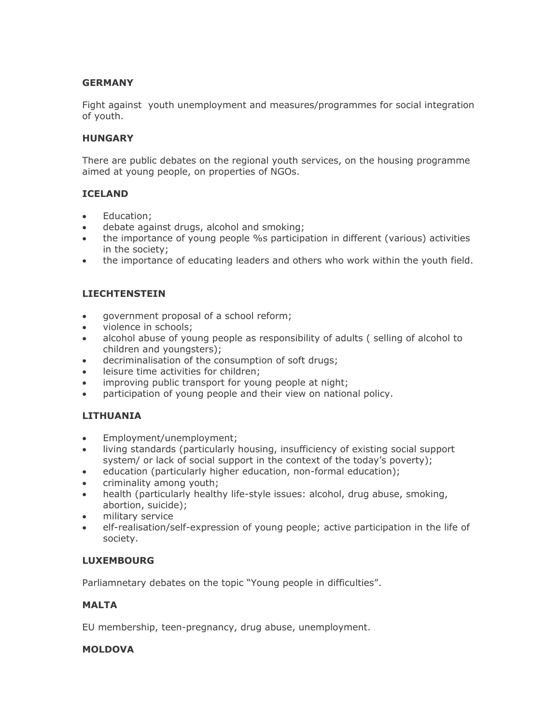# **GERMANY**

Fight against youth unemployment and measures/programmes for social integration of youth.

# **HUNGARY**

There are public debates on the regional youth services, on the housing programme aimed at young people, on properties of NGOs.

# **ICELAND**

- Education;
- debate against drugs, alcohol and smoking;  $\bullet$
- the importance of young people % participation in different (various) activities in the society;
- the importance of educating leaders and others who work within the youth field.  $\bullet$

# **LIECHTENSTEIN**

- government proposal of a school reform;  $\bullet$
- violence in schools;
- alcohol abuse of young people as responsibility of adults (selling of alcohol to  $\bullet$ children and youngsters);
- decriminalisation of the consumption of soft drugs;  $\bullet$
- leisure time activities for children:  $\bullet$
- improving public transport for young people at night;  $\bullet$
- participation of young people and their view on national policy.

# **LITHUANIA**

- Employment/unemployment;  $\bullet$
- living standards (particularly housing, insufficiency of existing social support  $\bullet$ system/ or lack of social support in the context of the today's poverty);
- education (particularly higher education, non-formal education);  $\bullet$
- criminality among youth;
- health (particularly healthy life-style issues: alcohol, drug abuse, smoking, abortion, suicide);
- $\bullet$ military service
- elf-realisation/self-expression of young people; active participation in the life of society.

# **LUXEMBOURG**

Parliamnetary debates on the topic "Young people in difficulties".

# **MALTA**

EU membership, teen-pregnancy, drug abuse, unemployment.

# **MOLDOVA**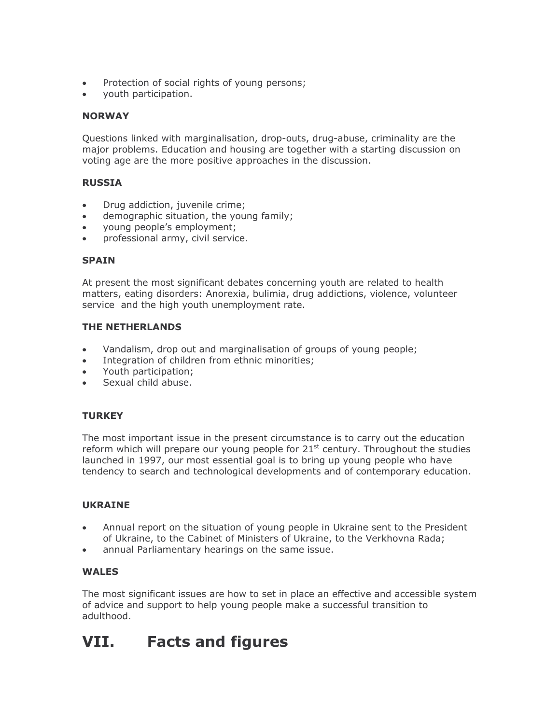- Protection of social rights of young persons;  $\bullet$
- youth participation.

# **NORWAY**

Questions linked with marginalisation, drop-outs, drug-abuse, criminality are the major problems. Education and housing are together with a starting discussion on voting age are the more positive approaches in the discussion.

# **RUSSIA**

- Drug addiction, juvenile crime;  $\bullet$
- demographic situation, the young family;  $\bullet$
- young people's employment;  $\bullet$
- professional army, civil service.

# **SPAIN**

At present the most significant debates concerning youth are related to health matters, eating disorders: Anorexia, bulimia, drug addictions, violence, volunteer service and the high youth unemployment rate.

# **THE NETHERLANDS**

- Vandalism, drop out and marginalisation of groups of young people;  $\bullet$
- Integration of children from ethnic minorities;  $\bullet$
- Youth participation:  $\bullet$
- Sexual child abuse.

# **TURKEY**

The most important issue in the present circumstance is to carry out the education reform which will prepare our young people for 21<sup>st</sup> century. Throughout the studies launched in 1997, our most essential goal is to bring up young people who have tendency to search and technological developments and of contemporary education.

# **UKRAINE**

- Annual report on the situation of young people in Ukraine sent to the President  $\bullet$ of Ukraine, to the Cabinet of Ministers of Ukraine, to the Verkhovna Rada;
- annual Parliamentary hearings on the same issue.

# **WALES**

The most significant issues are how to set in place an effective and accessible system of advice and support to help young people make a successful transition to adulthood.

#### VII. **Facts and figures**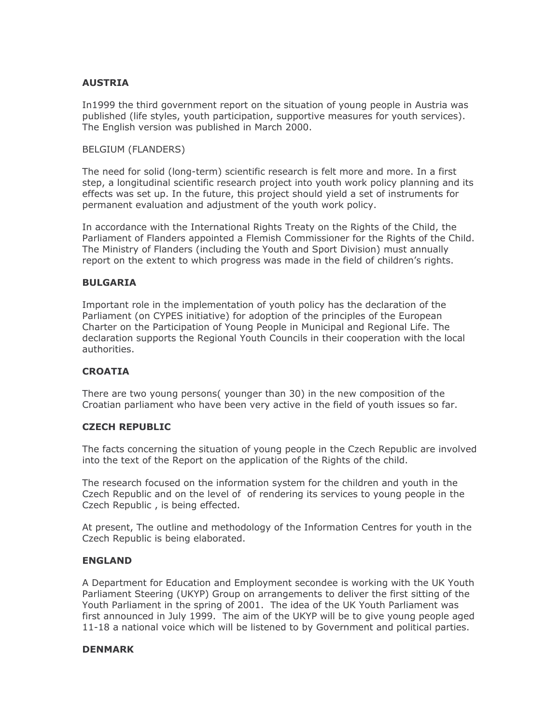# **AUSTRIA**

In1999 the third government report on the situation of young people in Austria was published (life styles, youth participation, supportive measures for youth services). The English version was published in March 2000.

#### **BELGIUM (FLANDERS)**

The need for solid (long-term) scientific research is felt more and more. In a first step, a longitudinal scientific research project into youth work policy planning and its effects was set up. In the future, this project should yield a set of instruments for permanent evaluation and adjustment of the youth work policy.

In accordance with the International Rights Treaty on the Rights of the Child, the Parliament of Flanders appointed a Flemish Commissioner for the Rights of the Child. The Ministry of Flanders (including the Youth and Sport Division) must annually report on the extent to which progress was made in the field of children's rights.

#### **BULGARIA**

Important role in the implementation of youth policy has the declaration of the Parliament (on CYPES initiative) for adoption of the principles of the European Charter on the Participation of Young People in Municipal and Regional Life. The declaration supports the Regional Youth Councils in their cooperation with the local authorities.

# **CROATIA**

There are two young persons(younger than 30) in the new composition of the Croatian parliament who have been very active in the field of youth issues so far.

#### **CZECH REPUBLIC**

The facts concerning the situation of young people in the Czech Republic are involved into the text of the Report on the application of the Rights of the child.

The research focused on the information system for the children and youth in the Czech Republic and on the level of of rendering its services to young people in the Czech Republic, is being effected.

At present, The outline and methodology of the Information Centres for youth in the Czech Republic is being elaborated.

# **ENGLAND**

A Department for Education and Employment secondee is working with the UK Youth Parliament Steering (UKYP) Group on arrangements to deliver the first sitting of the Youth Parliament in the spring of 2001. The idea of the UK Youth Parliament was first announced in July 1999. The aim of the UKYP will be to give young people aged 11-18 a national voice which will be listened to by Government and political parties.

#### **DENMARK**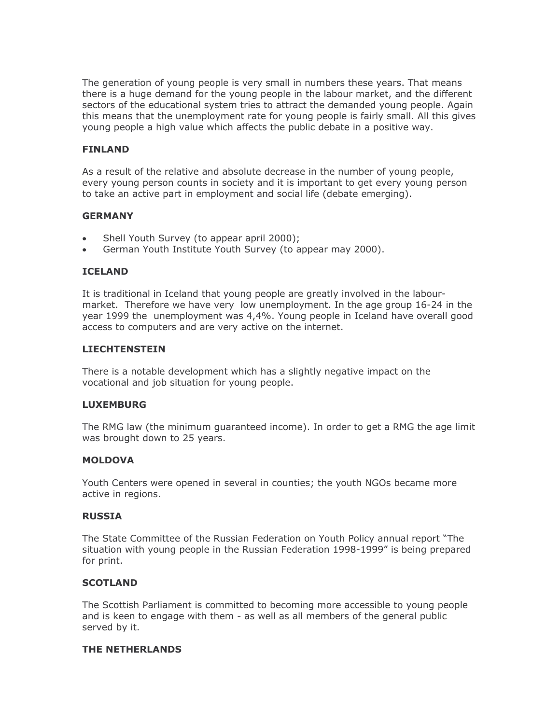The generation of young people is very small in numbers these years. That means there is a huge demand for the young people in the labour market, and the different sectors of the educational system tries to attract the demanded young people. Again this means that the unemployment rate for young people is fairly small. All this gives young people a high value which affects the public debate in a positive way.

#### **FINLAND**

As a result of the relative and absolute decrease in the number of young people, every young person counts in society and it is important to get every young person to take an active part in employment and social life (debate emerging).

#### **GERMANY**

- Shell Youth Survey (to appear april 2000);
- German Youth Institute Youth Survey (to appear may 2000).

#### **ICELAND**

It is traditional in Iceland that young people are greatly involved in the labourmarket. Therefore we have very low unemployment. In the age group 16-24 in the year 1999 the unemployment was 4,4%. Young people in Iceland have overall good access to computers and are very active on the internet.

#### **LIECHTENSTEIN**

There is a notable development which has a slightly negative impact on the vocational and job situation for young people.

#### **LUXEMBURG**

The RMG law (the minimum quaranteed income). In order to get a RMG the age limit was brought down to 25 years.

#### **MOLDOVA**

Youth Centers were opened in several in counties; the youth NGOs became more active in regions.

#### **RUSSIA**

The State Committee of the Russian Federation on Youth Policy annual report "The situation with young people in the Russian Federation 1998-1999" is being prepared for print.

#### **SCOTLAND**

The Scottish Parliament is committed to becoming more accessible to young people and is keen to engage with them - as well as all members of the general public served by it.

#### THE NETHERLANDS